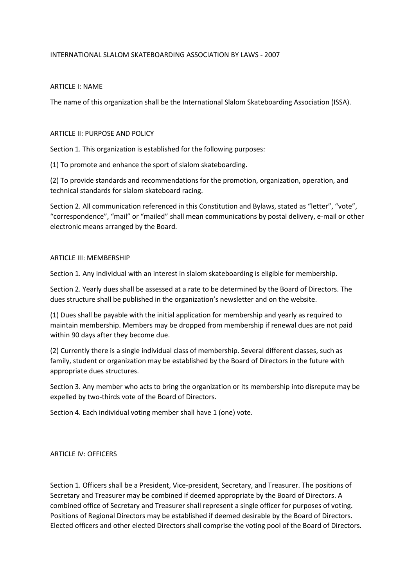# INTERNATIONAL SLALOM SKATEBOARDING ASSOCIATION BY LAWS - 2007

## ARTICLE I: NAME

The name of this organization shall be the International Slalom Skateboarding Association (ISSA).

## ARTICLE II: PURPOSE AND POLICY

Section 1. This organization is established for the following purposes:

(1) To promote and enhance the sport of slalom skateboarding.

(2) To provide standards and recommendations for the promotion, organization, operation, and technical standards for slalom skateboard racing.

Section 2. All communication referenced in this Constitution and Bylaws, stated as "letter", "vote", "correspondence", "mail" or "mailed" shall mean communications by postal delivery, e-mail or other electronic means arranged by the Board.

#### ARTICLE III: MEMBERSHIP

Section 1. Any individual with an interest in slalom skateboarding is eligible for membership.

Section 2. Yearly dues shall be assessed at a rate to be determined by the Board of Directors. The dues structure shall be published in the organization's newsletter and on the website.

(1) Dues shall be payable with the initial application for membership and yearly as required to maintain membership. Members may be dropped from membership if renewal dues are not paid within 90 days after they become due.

(2) Currently there is a single individual class of membership. Several different classes, such as family, student or organization may be established by the Board of Directors in the future with appropriate dues structures.

Section 3. Any member who acts to bring the organization or its membership into disrepute may be expelled by two-thirds vote of the Board of Directors.

Section 4. Each individual voting member shall have 1 (one) vote.

# ARTICLE IV: OFFICERS

Section 1. Officers shall be a President, Vice-president, Secretary, and Treasurer. The positions of Secretary and Treasurer may be combined if deemed appropriate by the Board of Directors. A combined office of Secretary and Treasurer shall represent a single officer for purposes of voting. Positions of Regional Directors may be established if deemed desirable by the Board of Directors. Elected officers and other elected Directors shall comprise the voting pool of the Board of Directors.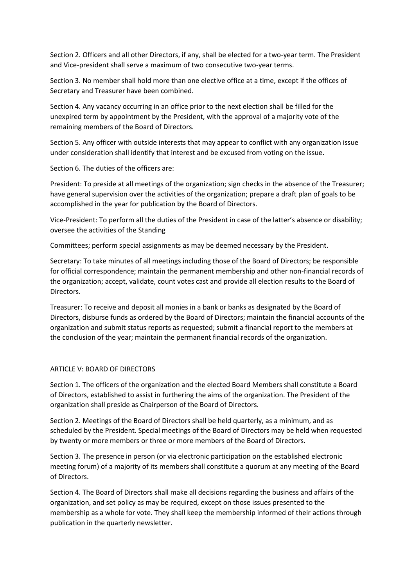Section 2. Officers and all other Directors, if any, shall be elected for a two-year term. The President and Vice-president shall serve a maximum of two consecutive two-year terms.

Section 3. No member shall hold more than one elective office at a time, except if the offices of Secretary and Treasurer have been combined.

Section 4. Any vacancy occurring in an office prior to the next election shall be filled for the unexpired term by appointment by the President, with the approval of a majority vote of the remaining members of the Board of Directors.

Section 5. Any officer with outside interests that may appear to conflict with any organization issue under consideration shall identify that interest and be excused from voting on the issue.

Section 6. The duties of the officers are:

President: To preside at all meetings of the organization; sign checks in the absence of the Treasurer; have general supervision over the activities of the organization; prepare a draft plan of goals to be accomplished in the year for publication by the Board of Directors.

Vice-President: To perform all the duties of the President in case of the latter's absence or disability; oversee the activities of the Standing

Committees; perform special assignments as may be deemed necessary by the President.

Secretary: To take minutes of all meetings including those of the Board of Directors; be responsible for official correspondence; maintain the permanent membership and other non-financial records of the organization; accept, validate, count votes cast and provide all election results to the Board of Directors.

Treasurer: To receive and deposit all monies in a bank or banks as designated by the Board of Directors, disburse funds as ordered by the Board of Directors; maintain the financial accounts of the organization and submit status reports as requested; submit a financial report to the members at the conclusion of the year; maintain the permanent financial records of the organization.

# ARTICLE V: BOARD OF DIRECTORS

Section 1. The officers of the organization and the elected Board Members shall constitute a Board of Directors, established to assist in furthering the aims of the organization. The President of the organization shall preside as Chairperson of the Board of Directors.

Section 2. Meetings of the Board of Directors shall be held quarterly, as a minimum, and as scheduled by the President. Special meetings of the Board of Directors may be held when requested by twenty or more members or three or more members of the Board of Directors.

Section 3. The presence in person (or via electronic participation on the established electronic meeting forum) of a majority of its members shall constitute a quorum at any meeting of the Board of Directors.

Section 4. The Board of Directors shall make all decisions regarding the business and affairs of the organization, and set policy as may be required, except on those issues presented to the membership as a whole for vote. They shall keep the membership informed of their actions through publication in the quarterly newsletter.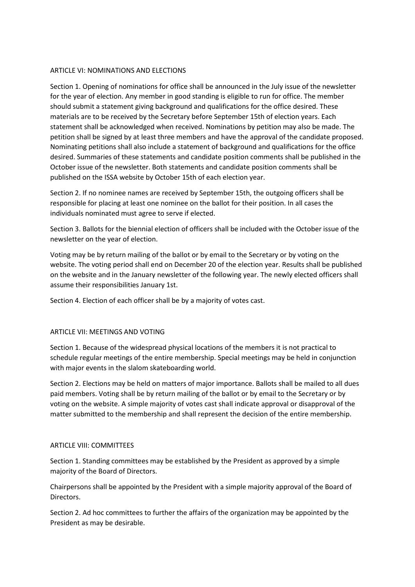# ARTICLE VI: NOMINATIONS AND ELECTIONS

Section 1. Opening of nominations for office shall be announced in the July issue of the newsletter for the year of election. Any member in good standing is eligible to run for office. The member should submit a statement giving background and qualifications for the office desired. These materials are to be received by the Secretary before September 15th of election years. Each statement shall be acknowledged when received. Nominations by petition may also be made. The petition shall be signed by at least three members and have the approval of the candidate proposed. Nominating petitions shall also include a statement of background and qualifications for the office desired. Summaries of these statements and candidate position comments shall be published in the October issue of the newsletter. Both statements and candidate position comments shall be published on the ISSA website by October 15th of each election year.

Section 2. If no nominee names are received by September 15th, the outgoing officers shall be responsible for placing at least one nominee on the ballot for their position. In all cases the individuals nominated must agree to serve if elected.

Section 3. Ballots for the biennial election of officers shall be included with the October issue of the newsletter on the year of election.

Voting may be by return mailing of the ballot or by email to the Secretary or by voting on the website. The voting period shall end on December 20 of the election year. Results shall be published on the website and in the January newsletter of the following year. The newly elected officers shall assume their responsibilities January 1st.

Section 4. Election of each officer shall be by a majority of votes cast.

# ARTICLE VII: MEETINGS AND VOTING

Section 1. Because of the widespread physical locations of the members it is not practical to schedule regular meetings of the entire membership. Special meetings may be held in conjunction with major events in the slalom skateboarding world.

Section 2. Elections may be held on matters of major importance. Ballots shall be mailed to all dues paid members. Voting shall be by return mailing of the ballot or by email to the Secretary or by voting on the website. A simple majority of votes cast shall indicate approval or disapproval of the matter submitted to the membership and shall represent the decision of the entire membership.

# ARTICLE VIII: COMMITTEES

Section 1. Standing committees may be established by the President as approved by a simple majority of the Board of Directors.

Chairpersons shall be appointed by the President with a simple majority approval of the Board of Directors.

Section 2. Ad hoc committees to further the affairs of the organization may be appointed by the President as may be desirable.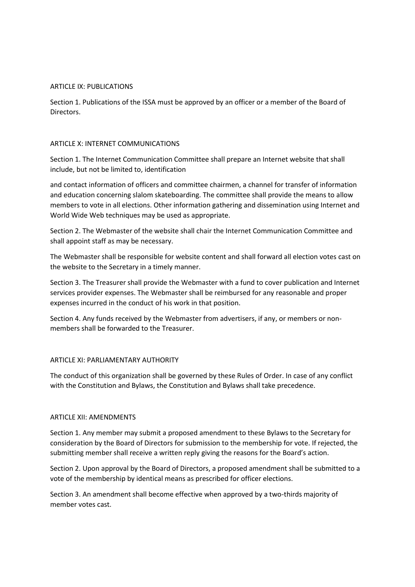# ARTICLE IX: PUBLICATIONS

Section 1. Publications of the ISSA must be approved by an officer or a member of the Board of Directors.

## ARTICLE X: INTERNET COMMUNICATIONS

Section 1. The Internet Communication Committee shall prepare an Internet website that shall include, but not be limited to, identification

and contact information of officers and committee chairmen, a channel for transfer of information and education concerning slalom skateboarding. The committee shall provide the means to allow members to vote in all elections. Other information gathering and dissemination using Internet and World Wide Web techniques may be used as appropriate.

Section 2. The Webmaster of the website shall chair the Internet Communication Committee and shall appoint staff as may be necessary.

The Webmaster shall be responsible for website content and shall forward all election votes cast on the website to the Secretary in a timely manner.

Section 3. The Treasurer shall provide the Webmaster with a fund to cover publication and Internet services provider expenses. The Webmaster shall be reimbursed for any reasonable and proper expenses incurred in the conduct of his work in that position.

Section 4. Any funds received by the Webmaster from advertisers, if any, or members or nonmembers shall be forwarded to the Treasurer.

# ARTICLE XI: PARLIAMENTARY AUTHORITY

The conduct of this organization shall be governed by these Rules of Order. In case of any conflict with the Constitution and Bylaws, the Constitution and Bylaws shall take precedence.

#### ARTICLE XII: AMENDMENTS

Section 1. Any member may submit a proposed amendment to these Bylaws to the Secretary for consideration by the Board of Directors for submission to the membership for vote. If rejected, the submitting member shall receive a written reply giving the reasons for the Board's action.

Section 2. Upon approval by the Board of Directors, a proposed amendment shall be submitted to a vote of the membership by identical means as prescribed for officer elections.

Section 3. An amendment shall become effective when approved by a two-thirds majority of member votes cast.